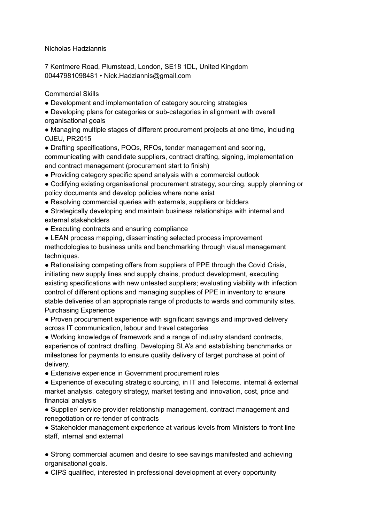Nicholas Hadziannis

7 Kentmere Road, Plumstead, London, SE18 1DL, United Kingdom 00447981098481 • Nick.Hadziannis@gmail.com

Commercial Skills

• Development and implementation of category sourcing strategies

● Developing plans for categories or sub-categories in alignment with overall organisational goals

● Managing multiple stages of different procurement projects at one time, including OJEU, PR2015

• Drafting specifications, PQQs, RFQs, tender management and scoring, communicating with candidate suppliers, contract drafting, signing, implementation and contract management (procurement start to finish)

● Providing category specific spend analysis with a commercial outlook

● Codifying existing organisational procurement strategy, sourcing, supply planning or policy documents and develop policies where none exist

• Resolving commercial queries with externals, suppliers or bidders

● Strategically developing and maintain business relationships with internal and external stakeholders

• Executing contracts and ensuring compliance

• LEAN process mapping, disseminating selected process improvement methodologies to business units and benchmarking through visual management techniques.

• Rationalising competing offers from suppliers of PPE through the Covid Crisis, initiating new supply lines and supply chains, product development, executing existing specifications with new untested suppliers; evaluating viability with infection control of different options and managing supplies of PPE in inventory to ensure stable deliveries of an appropriate range of products to wards and community sites. Purchasing Experience

● Proven procurement experience with significant savings and improved delivery across IT communication, labour and travel categories

● Working knowledge of framework and a range of industry standard contracts, experience of contract drafting. Developing SLA's and establishing benchmarks or milestones for payments to ensure quality delivery of target purchase at point of delivery.

● Extensive experience in Government procurement roles

● Experience of executing strategic sourcing, in IT and Telecoms. internal & external market analysis, category strategy, market testing and innovation, cost, price and financial analysis

● Supplier/ service provider relationship management, contract management and renegotiation or re-tender of contracts

● Stakeholder management experience at various levels from Ministers to front line staff, internal and external

● Strong commercial acumen and desire to see savings manifested and achieving organisational goals.

• CIPS qualified, interested in professional development at every opportunity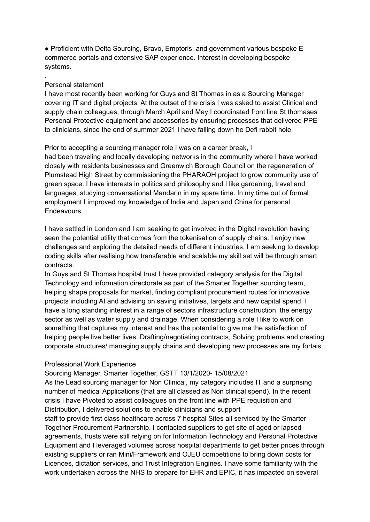● Proficient with Delta Sourcing, Bravo, Emptoris, and government various bespoke E commerce portals and extensive SAP experience. Interest in developing bespoke systems.

## Personal statement

.

I have most recently been working for Guys and St Thomas in as a Sourcing Manager covering IT and digital projects. At the outset of the crisis I was asked to assist Clinical and supply chain colleagues, through March April and May I coordinated front line St thomases Personal Protective equipment and accessories by ensuring processes that delivered PPE to clinicians, since the end of summer 2021 I have falling down he Defi rabbit hole

Prior to accepting a sourcing manager role I was on a career break, I

had been traveling and locally developing networks in the community where I have worked closely with residents businesses and Greenwich Borough Council on the regeneration of Plumstead High Street by commissioning the PHARAOH project to grow community use of green space. I have interests in politics and philosophy and I like gardening, travel and languages, studying conversational Mandarin in my spare time. In my time out of formal employment I improved my knowledge of India and Japan and China for personal **Endeavours** 

I have settled in London and I am seeking to get involved in the Digital revolution having seen the potential utility that comes from the tokenisation of supply chains. I enjoy new challenges and exploring the detailed needs of different industries. I am seeking to develop coding skills after realising how transferable and scalable my skill set will be through smart contracts.

In Guys and St Thomas hospital trust I have provided category analysis for the Digital Technology and information directorate as part of the Smarter Together sourcing team, helping shape proposals for market, finding compliant procurement routes for innovative projects including AI and advising on saving initiatives, targets and new capital spend. I have a long standing interest in a range of sectors infrastructure construction, the energy sector as well as water supply and drainage. When considering a role I like to work on something that captures my interest and has the potential to give me the satisfaction of helping people live better lives. Drafting/negotiating contracts, Solving problems and creating corporate structures/ managing supply chains and developing new processes are my fortais.

## Professional Work Experience

Sourcing Manager, Smarter Together, GSTT 13/1/2020- 15/08/2021

As the Lead sourcing manager for Non Clinical, my category includes IT and a surprising number of medical Applications (that are all classed as Non clinical spend). In the recent crisis I have Pivoted to assist colleagues on the front line with PPE requisition and Distribution, I delivered solutions to enable clinicians and support staff to provide first class healthcare across 7 hospital Sites all serviced by the Smarter Together Procurement Partnership. I contacted suppliers to get site of aged or lapsed agreements, trusts were still relying on for Information Technology and Personal Protective Equipment and I leveraged volumes across hospital departments to get better prices through existing suppliers or ran Mini/Framework and OJEU competitions to bring down costs for Licences, dictation services, and Trust Integration Engines. I have some familiarity with the work undertaken across the NHS to prepare for EHR and EPIC, it has impacted on several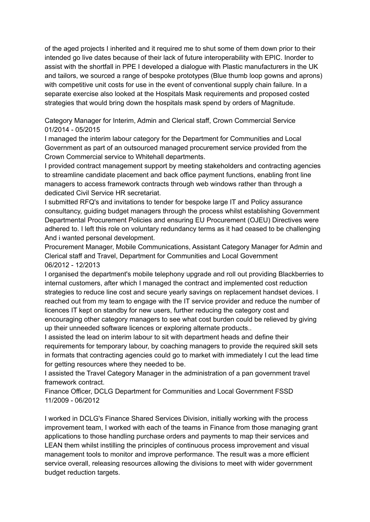of the aged projects I inherited and it required me to shut some of them down prior to their intended go live dates because of their lack of future interoperability with EPIC. Inorder to assist with the shortfall in PPE I developed a dialogue with Plastic manufacturers in the UK and tailors, we sourced a range of bespoke prototypes (Blue thumb loop gowns and aprons) with competitive unit costs for use in the event of conventional supply chain failure. In a separate exercise also looked at the Hospitals Mask requirements and proposed costed strategies that would bring down the hospitals mask spend by orders of Magnitude.

Category Manager for Interim, Admin and Clerical staff, Crown Commercial Service 01/2014 - 05/2015

I managed the interim labour category for the Department for Communities and Local Government as part of an outsourced managed procurement service provided from the Crown Commercial service to Whitehall departments.

I provided contract management support by meeting stakeholders and contracting agencies to streamline candidate placement and back office payment functions, enabling front line managers to access framework contracts through web windows rather than through a dedicated Civil Service HR secretariat.

I submitted RFQ's and invitations to tender for bespoke large IT and Policy assurance consultancy, guiding budget managers through the process whilst establishing Government Departmental Procurement Policies and ensuring EU Procurement (OJEU) Directives were adhered to. I left this role on voluntary redundancy terms as it had ceased to be challenging And i wanted personal development.

Procurement Manager, Mobile Communications, Assistant Category Manager for Admin and Clerical staff and Travel, Department for Communities and Local Government 06/2012 - 12/2013

I organised the department's mobile telephony upgrade and roll out providing Blackberries to internal customers, after which I managed the contract and implemented cost reduction strategies to reduce line cost and secure yearly savings on replacement handset devices. I reached out from my team to engage with the IT service provider and reduce the number of licences IT kept on standby for new users, further reducing the category cost and encouraging other category managers to see what cost burden could be relieved by giving up their unneeded software licences or exploring alternate products..

I assisted the lead on interim labour to sit with department heads and define their requirements for temporary labour, by coaching managers to provide the required skill sets in formats that contracting agencies could go to market with immediately I cut the lead time for getting resources where they needed to be.

I assisted the Travel Category Manager in the administration of a pan government travel framework contract.

Finance Officer, DCLG Department for Communities and Local Government FSSD 11/2009 - 06/2012

I worked in DCLG's Finance Shared Services Division, initially working with the process improvement team, I worked with each of the teams in Finance from those managing grant applications to those handling purchase orders and payments to map their services and LEAN them whilst instilling the principles of continuous process improvement and visual management tools to monitor and improve performance. The result was a more efficient service overall, releasing resources allowing the divisions to meet with wider government budget reduction targets.